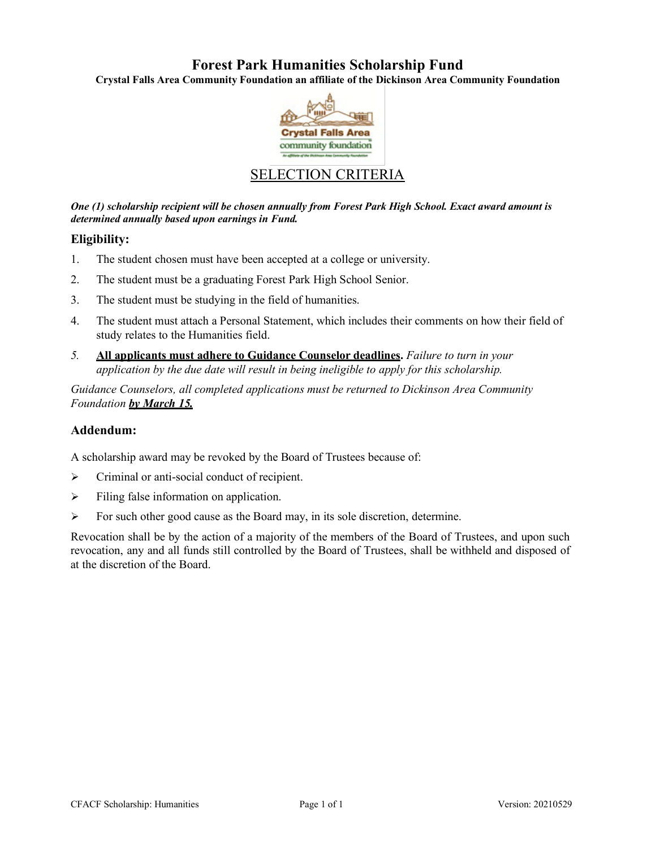# **Forest Park Humanities Scholarship Fund**

**Crystal Falls Area Community Foundation an affiliate of the Dickinson Area Community Foundation**



## SELECTION CRITERIA

*One (1) scholarship recipient will be chosen annually from Forest Park High School. Exact award amount is determined annually based upon earnings in Fund.*

### **Eligibility:**

- 1. The student chosen must have been accepted at a college or university.
- 2. The student must be a graduating Forest Park High School Senior.
- 3. The student must be studying in the field of humanities.
- 4. The student must attach a Personal Statement, which includes their comments on how their field of study relates to the Humanities field.
- *5.* **All applicants must adhere to Guidance Counselor deadlines.** *Failure to turn in your application by the due date will result in being ineligible to apply for this scholarship.*

*Guidance Counselors, all completed applications must be returned to Dickinson Area Community Foundation by March 15.*

## **Addendum:**

A scholarship award may be revoked by the Board of Trustees because of:

- Criminal or anti-social conduct of recipient.
- $\triangleright$  Filing false information on application.
- $\triangleright$  For such other good cause as the Board may, in its sole discretion, determine.

Revocation shall be by the action of a majority of the members of the Board of Trustees, and upon such revocation, any and all funds still controlled by the Board of Trustees, shall be withheld and disposed of at the discretion of the Board.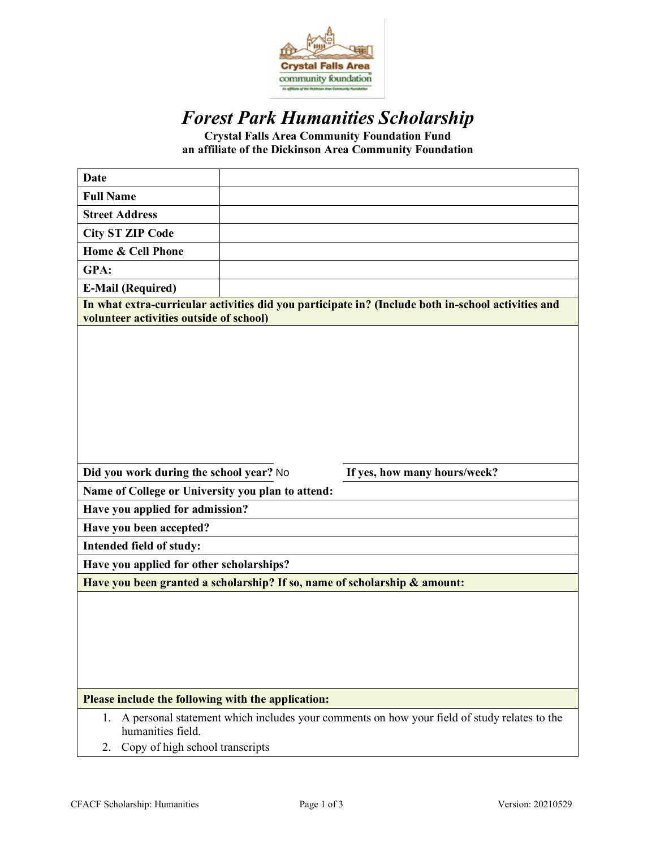

# *Forest Park Humanities Scholarship*

**Crystal Falls Area Community Foundation Fund an affiliate of the Dickinson Area Community Foundation**

| <b>Date</b>                                                                                                                                   |                                                                                             |
|-----------------------------------------------------------------------------------------------------------------------------------------------|---------------------------------------------------------------------------------------------|
| <b>Full Name</b>                                                                                                                              |                                                                                             |
| <b>Street Address</b>                                                                                                                         |                                                                                             |
| <b>City ST ZIP Code</b>                                                                                                                       |                                                                                             |
| Home & Cell Phone                                                                                                                             |                                                                                             |
| GPA:                                                                                                                                          |                                                                                             |
| <b>E-Mail (Required)</b>                                                                                                                      |                                                                                             |
| In what extra-curricular activities did you participate in? (Include both in-school activities and<br>volunteer activities outside of school) |                                                                                             |
|                                                                                                                                               |                                                                                             |
| Did you work during the school year? No                                                                                                       | If yes, how many hours/week?                                                                |
| Name of College or University you plan to attend:                                                                                             |                                                                                             |
| Have you applied for admission?                                                                                                               |                                                                                             |
| Have you been accepted?                                                                                                                       |                                                                                             |
| Intended field of study:                                                                                                                      |                                                                                             |
| Have you applied for other scholarships?                                                                                                      |                                                                                             |
| Have you been granted a scholarship? If so, name of scholarship & amount:                                                                     |                                                                                             |
|                                                                                                                                               |                                                                                             |
| Please include the following with the application:                                                                                            |                                                                                             |
| 1.<br>humanities field.                                                                                                                       | A personal statement which includes your comments on how your field of study relates to the |
| Copy of high school transcripts<br>2.                                                                                                         |                                                                                             |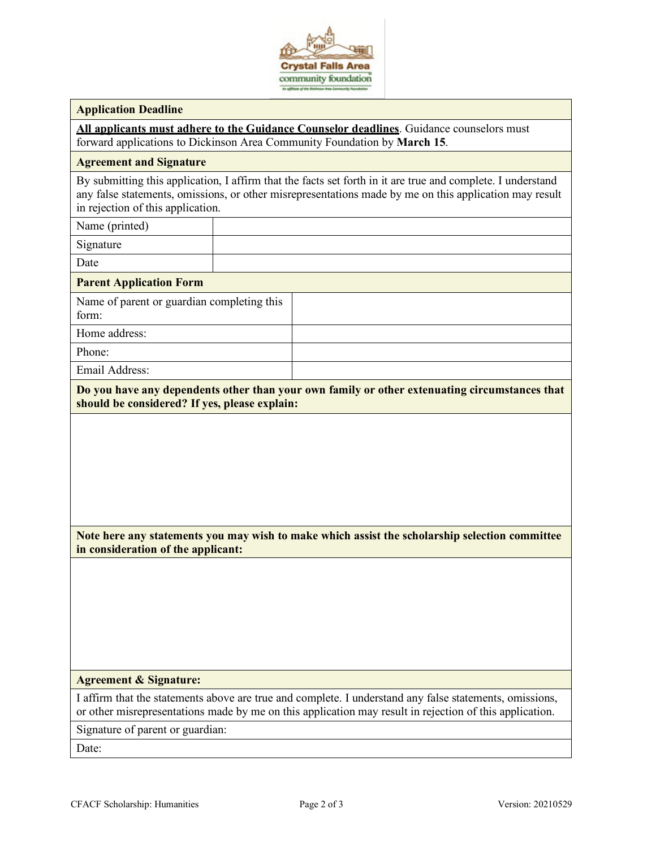

#### **Application Deadline**

**All applicants must adhere to the Guidance Counselor deadlines**. Guidance counselors must forward applications to Dickinson Area Community Foundation by **March 15**.

#### **Agreement and Signature**

By submitting this application, I affirm that the facts set forth in it are true and complete. I understand any false statements, omissions, or other misrepresentations made by me on this application may result in rejection of this application.

Name (printed)

Signature

Date

#### **Parent Application Form**

Name of parent or guardian completing this form: Home address:

Phone:

Email Address:

**Do you have any dependents other than your own family or other extenuating circumstances that should be considered? If yes, please explain:**

**Note here any statements you may wish to make which assist the scholarship selection committee in consideration of the applicant:**

#### **Agreement & Signature:**

I affirm that the statements above are true and complete. I understand any false statements, omissions, or other misrepresentations made by me on this application may result in rejection of this application.

Signature of parent or guardian:

Date: